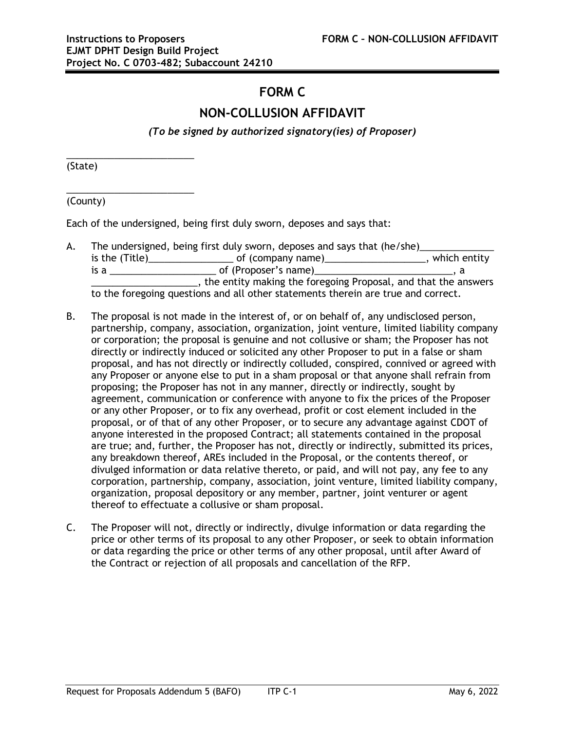## **FORM C**

## **NON-COLLUSION AFFIDAVIT**

*(To be signed by authorized signatory(ies) of Proposer)*

(State)

\_\_\_\_\_\_\_\_\_\_\_\_\_\_\_\_\_\_\_\_\_\_\_\_

\_\_\_\_\_\_\_\_\_\_\_\_\_\_\_\_\_\_\_\_\_\_\_\_

(County)

Each of the undersigned, being first duly sworn, deposes and says that:

- A. The undersigned, being first duly sworn, deposes and says that (he/she) is the (Title)\_\_\_\_\_\_\_\_\_\_\_\_\_\_\_\_\_\_\_\_\_\_\_\_\_of (company name)\_\_\_\_\_\_\_\_\_\_\_\_\_\_\_\_\_\_\_\_\_\_, which entity  $\begin{array}{|c|c|c|c|c|}\n \hline\n \text{is a } & \text{if a number of (Proposer's name)} \\
\hline\n \end{array}$  a **EXECUTE:** The entity making the foregoing Proposal, and that the answers to the foregoing questions and all other statements therein are true and correct.
- B. The proposal is not made in the interest of, or on behalf of, any undisclosed person, partnership, company, association, organization, joint venture, limited liability company or corporation; the proposal is genuine and not collusive or sham; the Proposer has not directly or indirectly induced or solicited any other Proposer to put in a false or sham proposal, and has not directly or indirectly colluded, conspired, connived or agreed with any Proposer or anyone else to put in a sham proposal or that anyone shall refrain from proposing; the Proposer has not in any manner, directly or indirectly, sought by agreement, communication or conference with anyone to fix the prices of the Proposer or any other Proposer, or to fix any overhead, profit or cost element included in the proposal, or of that of any other Proposer, or to secure any advantage against CDOT of anyone interested in the proposed Contract; all statements contained in the proposal are true; and, further, the Proposer has not, directly or indirectly, submitted its prices, any breakdown thereof, AREs included in the Proposal, or the contents thereof, or divulged information or data relative thereto, or paid, and will not pay, any fee to any corporation, partnership, company, association, joint venture, limited liability company, organization, proposal depository or any member, partner, joint venturer or agent thereof to effectuate a collusive or sham proposal.
- C. The Proposer will not, directly or indirectly, divulge information or data regarding the price or other terms of its proposal to any other Proposer, or seek to obtain information or data regarding the price or other terms of any other proposal, until after Award of the Contract or rejection of all proposals and cancellation of the RFP.